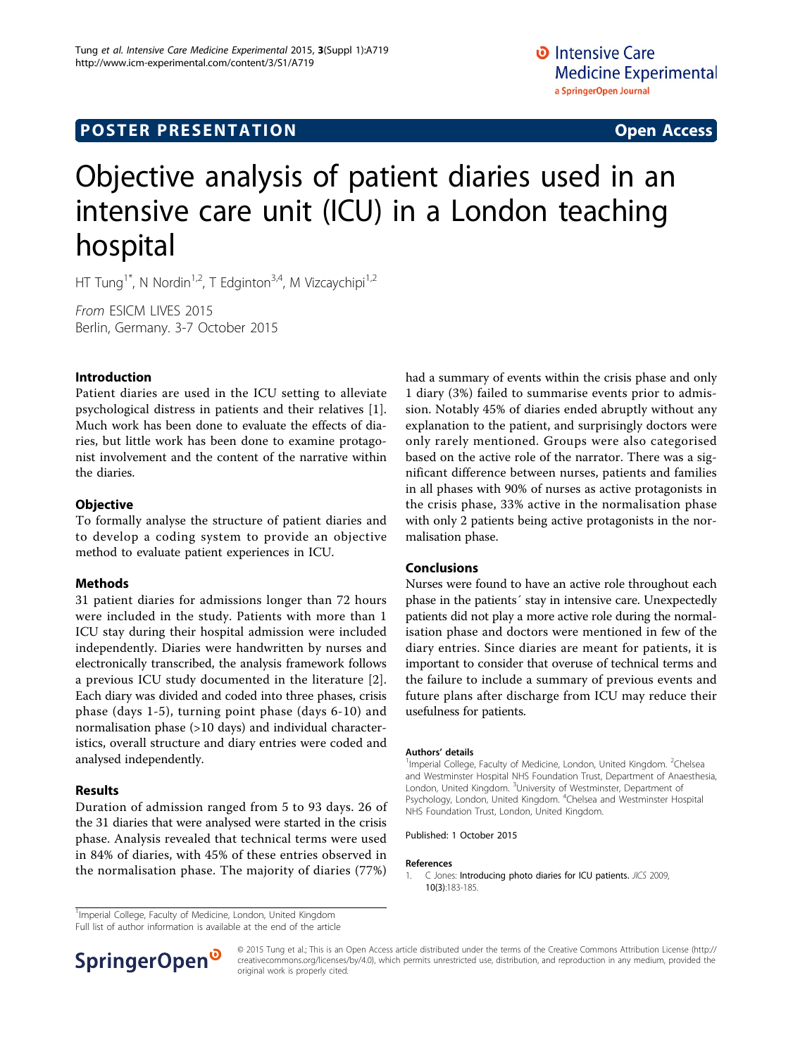# **POSTER PRESENTATION CONSUMING THE SERVICE SERVICE SERVICES**

# Objective analysis of patient diaries used in an intensive care unit (ICU) in a London teaching hospital

HT Tung<sup>1\*</sup>, N Nordin<sup>1,2</sup>, T Edginton<sup>3,4</sup>, M Vizcaychipi<sup>1,2</sup>

From ESICM LIVES 2015 Berlin, Germany. 3-7 October 2015

#### Introduction

Patient diaries are used in the ICU setting to alleviate psychological distress in patients and their relatives [1]. Much work has been done to evaluate the effects of diaries, but little work has been done to examine protagonist involvement and the content of the narrative within the diaries.

#### **Objective**

To formally analyse the structure of patient diaries and to develop a coding system to provide an objective method to evaluate patient experiences in ICU.

#### Methods

31 patient diaries for admissions longer than 72 hours were included in the study. Patients with more than 1 ICU stay during their hospital admission were included independently. Diaries were handwritten by nurses and electronically transcribed, the analysis framework follows a previous ICU study documented in the literature [[2](#page-1-0)]. Each diary was divided and coded into three phases, crisis phase (days 1-5), turning point phase (days 6-10) and normalisation phase (>10 days) and individual characteristics, overall structure and diary entries were coded and analysed independently.

### Results

Duration of admission ranged from 5 to 93 days. 26 of the 31 diaries that were analysed were started in the crisis phase. Analysis revealed that technical terms were used in 84% of diaries, with 45% of these entries observed in the normalisation phase. The majority of diaries (77%) had a summary of events within the crisis phase and only 1 diary (3%) failed to summarise events prior to admission. Notably 45% of diaries ended abruptly without any explanation to the patient, and surprisingly doctors were only rarely mentioned. Groups were also categorised based on the active role of the narrator. There was a significant difference between nurses, patients and families in all phases with 90% of nurses as active protagonists in the crisis phase, 33% active in the normalisation phase with only 2 patients being active protagonists in the normalisation phase.

#### Conclusions

Nurses were found to have an active role throughout each phase in the patients´ stay in intensive care. Unexpectedly patients did not play a more active role during the normalisation phase and doctors were mentioned in few of the diary entries. Since diaries are meant for patients, it is important to consider that overuse of technical terms and the failure to include a summary of previous events and future plans after discharge from ICU may reduce their usefulness for patients.

#### Authors' details <sup>1</sup>

Imperial College, Faculty of Medicine, London, United Kingdom. <sup>2</sup>Chelsea and Westminster Hospital NHS Foundation Trust, Department of Anaesthesia, London, United Kingdom. <sup>3</sup>University of Westminster, Department of Psychology, London, United Kingdom. <sup>4</sup>Chelsea and Westminster Hospital NHS Foundation Trust, London, United Kingdom.

Published: 1 October 2015

#### References

1. C Jones: Introducing photo diaries for ICU patients. JICS 2009, 10(3):183-185.

<sup>1</sup>Imperial College, Faculty of Medicine, London, United Kingdom

Full list of author information is available at the end of the article



© 2015 Tung et al.; This is an Open Access article distributed under the terms of the Creative Commons Attribution License [\(http://](http://creativecommons.org/licenses/by/4.0) [creativecommons.org/licenses/by/4.0](http://creativecommons.org/licenses/by/4.0)), which permits unrestricted use, distribution, and reproduction in any medium, provided the original work is properly cited.